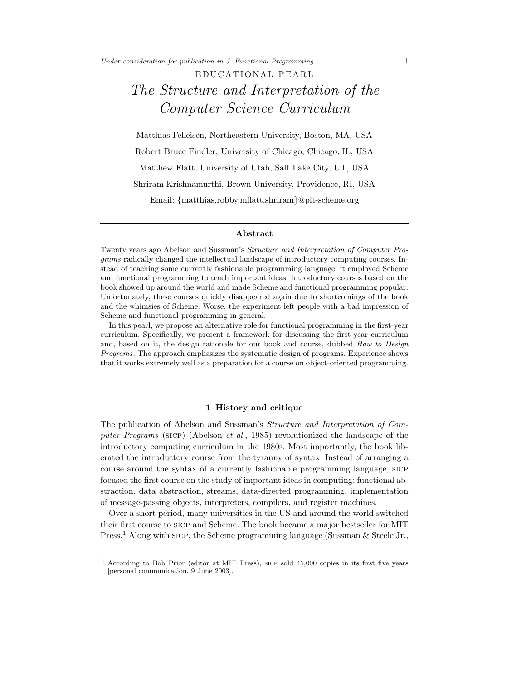Under consideration for publication in J. Functional Programming  $1$ 

# E DUCATIONAL PEARL The Structure and Interpretation of the Computer Science Curriculum

Matthias Felleisen, Northeastern University, Boston, MA, USA Robert Bruce Findler, University of Chicago, Chicago, IL, USA Matthew Flatt, University of Utah, Salt Lake City, UT, USA Shriram Krishnamurthi, Brown University, Providence, RI, USA Email: {matthias,robby,mflatt,shriram}@plt-scheme.org

## Abstract

Twenty years ago Abelson and Sussman's Structure and Interpretation of Computer Programs radically changed the intellectual landscape of introductory computing courses. Instead of teaching some currently fashionable programming language, it employed Scheme and functional programming to teach important ideas. Introductory courses based on the book showed up around the world and made Scheme and functional programming popular. Unfortunately, these courses quickly disappeared again due to shortcomings of the book and the whimsies of Scheme. Worse, the experiment left people with a bad impression of Scheme and functional programming in general.

In this pearl, we propose an alternative role for functional programming in the first-year curriculum. Specifically, we present a framework for discussing the first-year curriculum and, based on it, the design rationale for our book and course, dubbed How to Design Programs. The approach emphasizes the systematic design of programs. Experience shows that it works extremely well as a preparation for a course on object-oriented programming.

#### 1 History and critique

The publication of Abelson and Sussman's Structure and Interpretation of Computer Programs (sicp) (Abelson et al., 1985) revolutionized the landscape of the introductory computing curriculum in the 1980s. Most importantly, the book liberated the introductory course from the tyranny of syntax. Instead of arranging a course around the syntax of a currently fashionable programming language, sicp focused the first course on the study of important ideas in computing: functional abstraction, data abstraction, streams, data-directed programming, implementation of message-passing objects, interpreters, compilers, and register machines.

Over a short period, many universities in the US and around the world switched their first course to SICP and Scheme. The book became a major bestseller for MIT Press.<sup>1</sup> Along with sicp, the Scheme programming language (Sussman & Steele Jr.,

<sup>&</sup>lt;sup>1</sup> According to Bob Prior (editor at MIT Press), sicp sold 45,000 copies in its first five years [personal communication, 9 June 2003].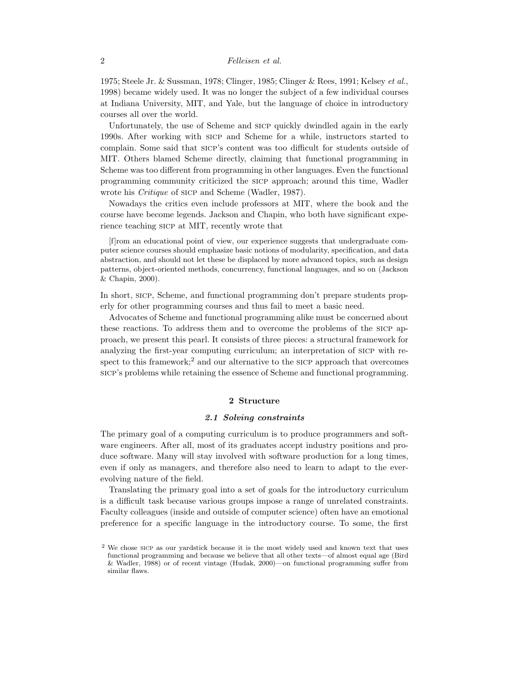1975; Steele Jr. & Sussman, 1978; Clinger, 1985; Clinger & Rees, 1991; Kelsey et al., 1998) became widely used. It was no longer the subject of a few individual courses at Indiana University, MIT, and Yale, but the language of choice in introductory courses all over the world.

Unfortunately, the use of Scheme and sicp quickly dwindled again in the early 1990s. After working with sicp and Scheme for a while, instructors started to complain. Some said that sicp's content was too difficult for students outside of MIT. Others blamed Scheme directly, claiming that functional programming in Scheme was too different from programming in other languages. Even the functional programming community criticized the sicp approach; around this time, Wadler wrote his *Critique* of sicp and Scheme (Wadler, 1987).

Nowadays the critics even include professors at MIT, where the book and the course have become legends. Jackson and Chapin, who both have significant experience teaching sicp at MIT, recently wrote that

[f]rom an educational point of view, our experience suggests that undergraduate computer science courses should emphasize basic notions of modularity, specification, and data abstraction, and should not let these be displaced by more advanced topics, such as design patterns, object-oriented methods, concurrency, functional languages, and so on (Jackson & Chapin, 2000).

In short, sicp, Scheme, and functional programming don't prepare students properly for other programming courses and thus fail to meet a basic need.

Advocates of Scheme and functional programming alike must be concerned about these reactions. To address them and to overcome the problems of the sicp approach, we present this pearl. It consists of three pieces: a structural framework for analyzing the first-year computing curriculum; an interpretation of sicp with respect to this framework;<sup>2</sup> and our alternative to the sic $P$  approach that overcomes sicp's problems while retaining the essence of Scheme and functional programming.

## 2 Structure

## 2.1 Solving constraints

The primary goal of a computing curriculum is to produce programmers and software engineers. After all, most of its graduates accept industry positions and produce software. Many will stay involved with software production for a long times, even if only as managers, and therefore also need to learn to adapt to the everevolving nature of the field.

Translating the primary goal into a set of goals for the introductory curriculum is a difficult task because various groups impose a range of unrelated constraints. Faculty colleagues (inside and outside of computer science) often have an emotional preference for a specific language in the introductory course. To some, the first

<sup>&</sup>lt;sup>2</sup> We chose sicp as our yardstick because it is the most widely used and known text that uses functional programming and because we believe that all other texts—of almost equal age (Bird & Wadler, 1988) or of recent vintage (Hudak, 2000)—on functional programming suffer from similar flaws.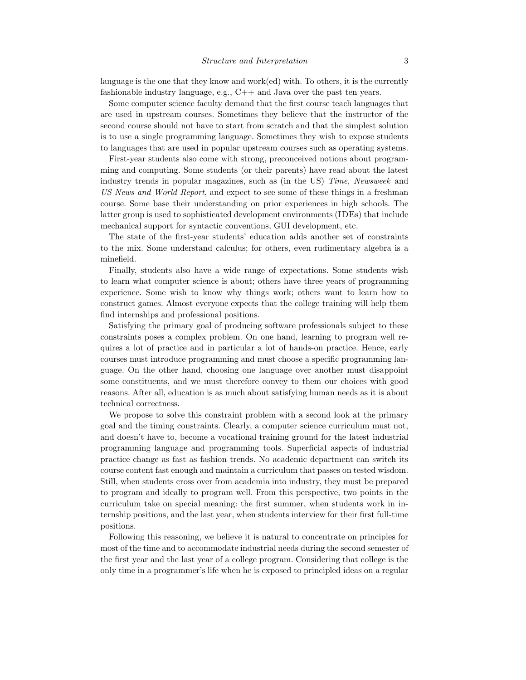language is the one that they know and work(ed) with. To others, it is the currently fashionable industry language, e.g., C++ and Java over the past ten years.

Some computer science faculty demand that the first course teach languages that are used in upstream courses. Sometimes they believe that the instructor of the second course should not have to start from scratch and that the simplest solution is to use a single programming language. Sometimes they wish to expose students to languages that are used in popular upstream courses such as operating systems.

First-year students also come with strong, preconceived notions about programming and computing. Some students (or their parents) have read about the latest industry trends in popular magazines, such as (in the US) Time, Newsweek and US News and World Report, and expect to see some of these things in a freshman course. Some base their understanding on prior experiences in high schools. The latter group is used to sophisticated development environments (IDEs) that include mechanical support for syntactic conventions, GUI development, etc.

The state of the first-year students' education adds another set of constraints to the mix. Some understand calculus; for others, even rudimentary algebra is a minefield.

Finally, students also have a wide range of expectations. Some students wish to learn what computer science is about; others have three years of programming experience. Some wish to know why things work; others want to learn how to construct games. Almost everyone expects that the college training will help them find internships and professional positions.

Satisfying the primary goal of producing software professionals subject to these constraints poses a complex problem. On one hand, learning to program well requires a lot of practice and in particular a lot of hands-on practice. Hence, early courses must introduce programming and must choose a specific programming language. On the other hand, choosing one language over another must disappoint some constituents, and we must therefore convey to them our choices with good reasons. After all, education is as much about satisfying human needs as it is about technical correctness.

We propose to solve this constraint problem with a second look at the primary goal and the timing constraints. Clearly, a computer science curriculum must not, and doesn't have to, become a vocational training ground for the latest industrial programming language and programming tools. Superficial aspects of industrial practice change as fast as fashion trends. No academic department can switch its course content fast enough and maintain a curriculum that passes on tested wisdom. Still, when students cross over from academia into industry, they must be prepared to program and ideally to program well. From this perspective, two points in the curriculum take on special meaning: the first summer, when students work in internship positions, and the last year, when students interview for their first full-time positions.

Following this reasoning, we believe it is natural to concentrate on principles for most of the time and to accommodate industrial needs during the second semester of the first year and the last year of a college program. Considering that college is the only time in a programmer's life when he is exposed to principled ideas on a regular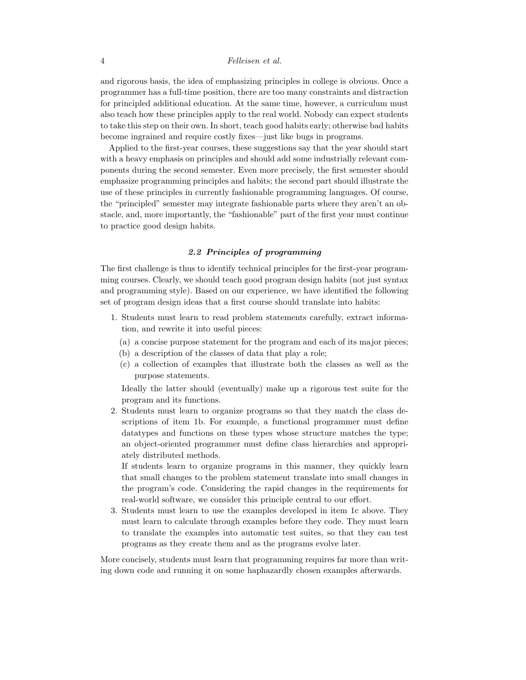and rigorous basis, the idea of emphasizing principles in college is obvious. Once a programmer has a full-time position, there are too many constraints and distraction for principled additional education. At the same time, however, a curriculum must also teach how these principles apply to the real world. Nobody can expect students to take this step on their own. In short, teach good habits early; otherwise bad habits become ingrained and require costly fixes—just like bugs in programs.

Applied to the first-year courses, these suggestions say that the year should start with a heavy emphasis on principles and should add some industrially relevant components during the second semester. Even more precisely, the first semester should emphasize programming principles and habits; the second part should illustrate the use of these principles in currently fashionable programming languages. Of course, the "principled" semester may integrate fashionable parts where they aren't an obstacle, and, more importantly, the "fashionable" part of the first year must continue to practice good design habits.

# 2.2 Principles of programming

The first challenge is thus to identify technical principles for the first-year programming courses. Clearly, we should teach good program design habits (not just syntax and programming style). Based on our experience, we have identified the following set of program design ideas that a first course should translate into habits:

- 1. Students must learn to read problem statements carefully, extract information, and rewrite it into useful pieces:
	- (a) a concise purpose statement for the program and each of its major pieces;
	- (b) a description of the classes of data that play a role;
	- (c) a collection of examples that illustrate both the classes as well as the purpose statements.

Ideally the latter should (eventually) make up a rigorous test suite for the program and its functions.

2. Students must learn to organize programs so that they match the class descriptions of item 1b. For example, a functional programmer must define datatypes and functions on these types whose structure matches the type; an object-oriented programmer must define class hierarchies and appropriately distributed methods.

If students learn to organize programs in this manner, they quickly learn that small changes to the problem statement translate into small changes in the program's code. Considering the rapid changes in the requirements for real-world software, we consider this principle central to our effort.

3. Students must learn to use the examples developed in item 1c above. They must learn to calculate through examples before they code. They must learn to translate the examples into automatic test suites, so that they can test programs as they create them and as the programs evolve later.

More concisely, students must learn that programming requires far more than writing down code and running it on some haphazardly chosen examples afterwards.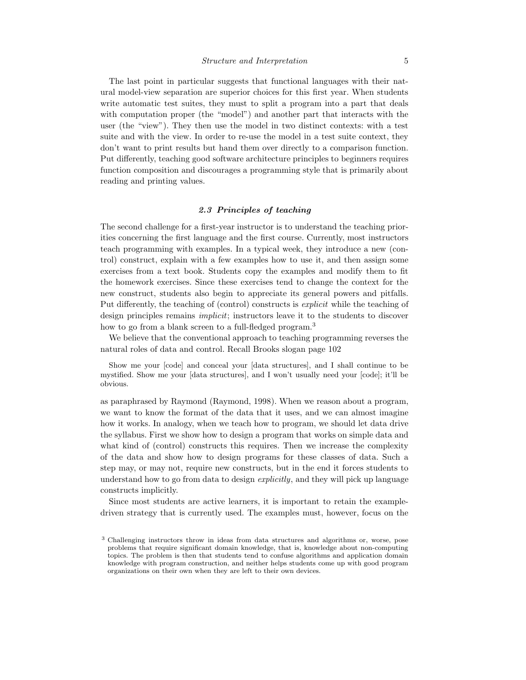# Structure and Interpretation 5

The last point in particular suggests that functional languages with their natural model-view separation are superior choices for this first year. When students write automatic test suites, they must to split a program into a part that deals with computation proper (the "model") and another part that interacts with the user (the "view"). They then use the model in two distinct contexts: with a test suite and with the view. In order to re-use the model in a test suite context, they don't want to print results but hand them over directly to a comparison function. Put differently, teaching good software architecture principles to beginners requires function composition and discourages a programming style that is primarily about reading and printing values.

# 2.3 Principles of teaching

The second challenge for a first-year instructor is to understand the teaching priorities concerning the first language and the first course. Currently, most instructors teach programming with examples. In a typical week, they introduce a new (control) construct, explain with a few examples how to use it, and then assign some exercises from a text book. Students copy the examples and modify them to fit the homework exercises. Since these exercises tend to change the context for the new construct, students also begin to appreciate its general powers and pitfalls. Put differently, the teaching of (control) constructs is explicit while the teaching of design principles remains implicit; instructors leave it to the students to discover how to go from a blank screen to a full-fledged program.<sup>3</sup>

We believe that the conventional approach to teaching programming reverses the natural roles of data and control. Recall Brooks slogan page 102

Show me your [code] and conceal your [data structures], and I shall continue to be mystified. Show me your [data structures], and I won't usually need your [code]; it'll be obvious.

as paraphrased by Raymond (Raymond, 1998). When we reason about a program, we want to know the format of the data that it uses, and we can almost imagine how it works. In analogy, when we teach how to program, we should let data drive the syllabus. First we show how to design a program that works on simple data and what kind of (control) constructs this requires. Then we increase the complexity of the data and show how to design programs for these classes of data. Such a step may, or may not, require new constructs, but in the end it forces students to understand how to go from data to design *explicitly*, and they will pick up language constructs implicitly.

Since most students are active learners, it is important to retain the exampledriven strategy that is currently used. The examples must, however, focus on the

<sup>&</sup>lt;sup>3</sup> Challenging instructors throw in ideas from data structures and algorithms or, worse, pose problems that require significant domain knowledge, that is, knowledge about non-computing topics. The problem is then that students tend to confuse algorithms and application domain knowledge with program construction, and neither helps students come up with good program organizations on their own when they are left to their own devices.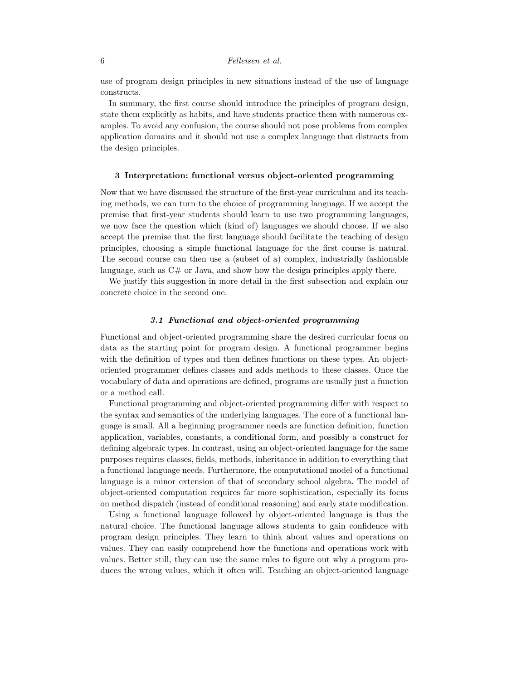# 6 Felleisen et al.

use of program design principles in new situations instead of the use of language constructs.

In summary, the first course should introduce the principles of program design, state them explicitly as habits, and have students practice them with numerous examples. To avoid any confusion, the course should not pose problems from complex application domains and it should not use a complex language that distracts from the design principles.

# 3 Interpretation: functional versus object-oriented programming

Now that we have discussed the structure of the first-year curriculum and its teaching methods, we can turn to the choice of programming language. If we accept the premise that first-year students should learn to use two programming languages, we now face the question which (kind of) languages we should choose. If we also accept the premise that the first language should facilitate the teaching of design principles, choosing a simple functional language for the first course is natural. The second course can then use a (subset of a) complex, industrially fashionable language, such as  $C#$  or Java, and show how the design principles apply there.

We justify this suggestion in more detail in the first subsection and explain our concrete choice in the second one.

# 3.1 Functional and object-oriented programming

Functional and object-oriented programming share the desired curricular focus on data as the starting point for program design. A functional programmer begins with the definition of types and then defines functions on these types. An objectoriented programmer defines classes and adds methods to these classes. Once the vocabulary of data and operations are defined, programs are usually just a function or a method call.

Functional programming and object-oriented programming differ with respect to the syntax and semantics of the underlying languages. The core of a functional language is small. All a beginning programmer needs are function definition, function application, variables, constants, a conditional form, and possibly a construct for defining algebraic types. In contrast, using an object-oriented language for the same purposes requires classes, fields, methods, inheritance in addition to everything that a functional language needs. Furthermore, the computational model of a functional language is a minor extension of that of secondary school algebra. The model of object-oriented computation requires far more sophistication, especially its focus on method dispatch (instead of conditional reasoning) and early state modification.

Using a functional language followed by object-oriented language is thus the natural choice. The functional language allows students to gain confidence with program design principles. They learn to think about values and operations on values. They can easily comprehend how the functions and operations work with values. Better still, they can use the same rules to figure out why a program produces the wrong values, which it often will. Teaching an object-oriented language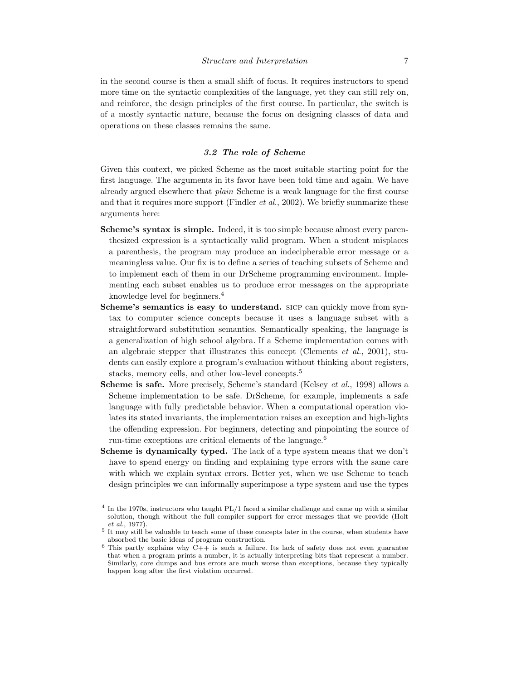in the second course is then a small shift of focus. It requires instructors to spend more time on the syntactic complexities of the language, yet they can still rely on, and reinforce, the design principles of the first course. In particular, the switch is of a mostly syntactic nature, because the focus on designing classes of data and operations on these classes remains the same.

# 3.2 The role of Scheme

Given this context, we picked Scheme as the most suitable starting point for the first language. The arguments in its favor have been told time and again. We have already argued elsewhere that plain Scheme is a weak language for the first course and that it requires more support (Findler et al., 2002). We briefly summarize these arguments here:

- Scheme's syntax is simple. Indeed, it is too simple because almost every parenthesized expression is a syntactically valid program. When a student misplaces a parenthesis, the program may produce an indecipherable error message or a meaningless value. Our fix is to define a series of teaching subsets of Scheme and to implement each of them in our DrScheme programming environment. Implementing each subset enables us to produce error messages on the appropriate knowledge level for beginners.<sup>4</sup>
- Scheme's semantics is easy to understand. SICP can quickly move from syntax to computer science concepts because it uses a language subset with a straightforward substitution semantics. Semantically speaking, the language is a generalization of high school algebra. If a Scheme implementation comes with an algebraic stepper that illustrates this concept (Clements *et al.*, 2001), students can easily explore a program's evaluation without thinking about registers, stacks, memory cells, and other low-level concepts.<sup>5</sup>
- Scheme is safe. More precisely, Scheme's standard (Kelsey et al., 1998) allows a Scheme implementation to be safe. DrScheme, for example, implements a safe language with fully predictable behavior. When a computational operation violates its stated invariants, the implementation raises an exception and high-lights the offending expression. For beginners, detecting and pinpointing the source of run-time exceptions are critical elements of the language.<sup>6</sup>
- Scheme is dynamically typed. The lack of a type system means that we don't have to spend energy on finding and explaining type errors with the same care with which we explain syntax errors. Better yet, when we use Scheme to teach design principles we can informally superimpose a type system and use the types

<sup>&</sup>lt;sup>4</sup> In the 1970s, instructors who taught PL/1 faced a similar challenge and came up with a similar solution, though without the full compiler support for error messages that we provide (Holt et al., 1977).

<sup>&</sup>lt;sup>5</sup> It may still be valuable to teach some of these concepts later in the course, when students have absorbed the basic ideas of program construction.

 $6$  This partly explains why C++ is such a failure. Its lack of safety does not even guarantee that when a program prints a number, it is actually interpreting bits that represent a number. Similarly, core dumps and bus errors are much worse than exceptions, because they typically happen long after the first violation occurred.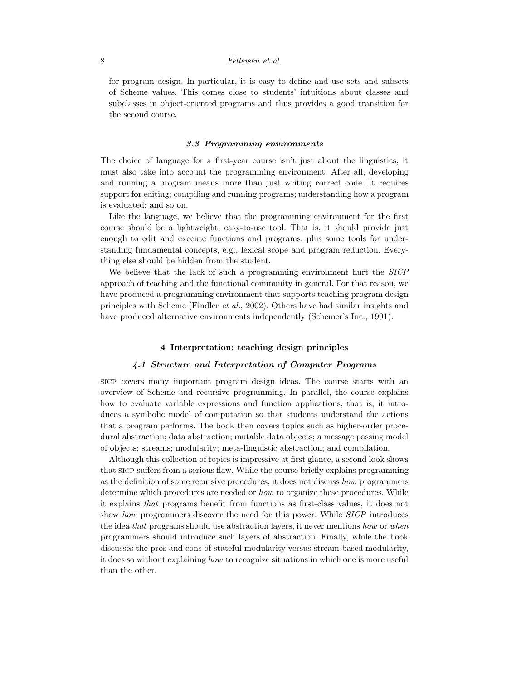# 8 Felleisen et al.

for program design. In particular, it is easy to define and use sets and subsets of Scheme values. This comes close to students' intuitions about classes and subclasses in object-oriented programs and thus provides a good transition for the second course.

#### 3.3 Programming environments

The choice of language for a first-year course isn't just about the linguistics; it must also take into account the programming environment. After all, developing and running a program means more than just writing correct code. It requires support for editing; compiling and running programs; understanding how a program is evaluated; and so on.

Like the language, we believe that the programming environment for the first course should be a lightweight, easy-to-use tool. That is, it should provide just enough to edit and execute functions and programs, plus some tools for understanding fundamental concepts, e.g., lexical scope and program reduction. Everything else should be hidden from the student.

We believe that the lack of such a programming environment hurt the *SICP* approach of teaching and the functional community in general. For that reason, we have produced a programming environment that supports teaching program design principles with Scheme (Findler et al., 2002). Others have had similar insights and have produced alternative environments independently (Schemer's Inc., 1991).

### 4 Interpretation: teaching design principles

## 4.1 Structure and Interpretation of Computer Programs

sicp covers many important program design ideas. The course starts with an overview of Scheme and recursive programming. In parallel, the course explains how to evaluate variable expressions and function applications; that is, it introduces a symbolic model of computation so that students understand the actions that a program performs. The book then covers topics such as higher-order procedural abstraction; data abstraction; mutable data objects; a message passing model of objects; streams; modularity; meta-linguistic abstraction; and compilation.

Although this collection of topics is impressive at first glance, a second look shows that sicp suffers from a serious flaw. While the course briefly explains programming as the definition of some recursive procedures, it does not discuss how programmers determine which procedures are needed or how to organize these procedures. While it explains that programs benefit from functions as first-class values, it does not show how programmers discover the need for this power. While SICP introduces the idea that programs should use abstraction layers, it never mentions how or when programmers should introduce such layers of abstraction. Finally, while the book discusses the pros and cons of stateful modularity versus stream-based modularity, it does so without explaining how to recognize situations in which one is more useful than the other.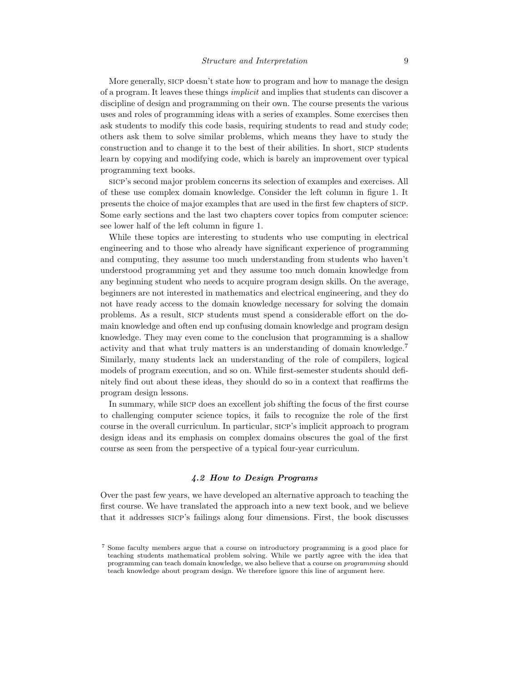More generally, sicp doesn't state how to program and how to manage the design of a program. It leaves these things implicit and implies that students can discover a discipline of design and programming on their own. The course presents the various uses and roles of programming ideas with a series of examples. Some exercises then ask students to modify this code basis, requiring students to read and study code; others ask them to solve similar problems, which means they have to study the construction and to change it to the best of their abilities. In short, sicp students learn by copying and modifying code, which is barely an improvement over typical programming text books.

sicp's second major problem concerns its selection of examples and exercises. All of these use complex domain knowledge. Consider the left column in figure 1. It presents the choice of major examples that are used in the first few chapters of sicp. Some early sections and the last two chapters cover topics from computer science: see lower half of the left column in figure 1.

While these topics are interesting to students who use computing in electrical engineering and to those who already have significant experience of programming and computing, they assume too much understanding from students who haven't understood programming yet and they assume too much domain knowledge from any beginning student who needs to acquire program design skills. On the average, beginners are not interested in mathematics and electrical engineering, and they do not have ready access to the domain knowledge necessary for solving the domain problems. As a result, sicp students must spend a considerable effort on the domain knowledge and often end up confusing domain knowledge and program design knowledge. They may even come to the conclusion that programming is a shallow activity and that what truly matters is an understanding of domain knowledge.<sup>7</sup> Similarly, many students lack an understanding of the role of compilers, logical models of program execution, and so on. While first-semester students should definitely find out about these ideas, they should do so in a context that reaffirms the program design lessons.

In summary, while sicp does an excellent job shifting the focus of the first course to challenging computer science topics, it fails to recognize the role of the first course in the overall curriculum. In particular, sicp's implicit approach to program design ideas and its emphasis on complex domains obscures the goal of the first course as seen from the perspective of a typical four-year curriculum.

# 4.2 How to Design Programs

Over the past few years, we have developed an alternative approach to teaching the first course. We have translated the approach into a new text book, and we believe that it addresses sicp's failings along four dimensions. First, the book discusses

<sup>7</sup> Some faculty members argue that a course on introductory programming is a good place for teaching students mathematical problem solving. While we partly agree with the idea that programming can teach domain knowledge, we also believe that a course on programming should teach knowledge about program design. We therefore ignore this line of argument here.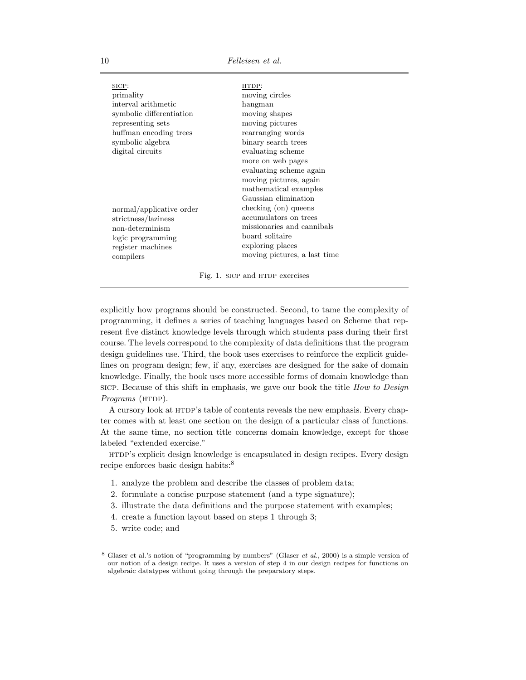| SICP:                    | HTDP:                        |
|--------------------------|------------------------------|
| primality                | moving circles               |
| interval arithmetic      | hangman                      |
| symbolic differentiation | moving shapes                |
| representing sets        | moving pictures              |
| huffman encoding trees   | rearranging words            |
| symbolic algebra         | binary search trees          |
| digital circuits         | evaluating scheme            |
|                          | more on web pages            |
|                          | evaluating scheme again      |
|                          | moving pictures, again       |
|                          | mathematical examples        |
|                          | Gaussian elimination         |
| normal/applicative order | checking (on) queens         |
| strictness/laziness      | accumulators on trees        |
| non-determinism          | missionaries and cannibals   |
| logic programming        | board solitaire              |
| register machines        | exploring places             |
| compilers                | moving pictures, a last time |
|                          |                              |

Fig. 1. SICP and HTDP exercises

explicitly how programs should be constructed. Second, to tame the complexity of programming, it defines a series of teaching languages based on Scheme that represent five distinct knowledge levels through which students pass during their first course. The levels correspond to the complexity of data definitions that the program design guidelines use. Third, the book uses exercises to reinforce the explicit guidelines on program design; few, if any, exercises are designed for the sake of domain knowledge. Finally, the book uses more accessible forms of domain knowledge than sicp. Because of this shift in emphasis, we gave our book the title *How to Design* Programs (HTDP).

A cursory look at HTDP's table of contents reveals the new emphasis. Every chapter comes with at least one section on the design of a particular class of functions. At the same time, no section title concerns domain knowledge, except for those labeled "extended exercise."

htdp's explicit design knowledge is encapsulated in design recipes. Every design recipe enforces basic design habits:<sup>8</sup>

- 1. analyze the problem and describe the classes of problem data;
- 2. formulate a concise purpose statement (and a type signature);
- 3. illustrate the data definitions and the purpose statement with examples;
- 4. create a function layout based on steps 1 through 3;
- 5. write code; and

<sup>&</sup>lt;sup>8</sup> Glaser et al.'s notion of "programming by numbers" (Glaser *et al.*, 2000) is a simple version of our notion of a design recipe. It uses a version of step 4 in our design recipes for functions on algebraic datatypes without going through the preparatory steps.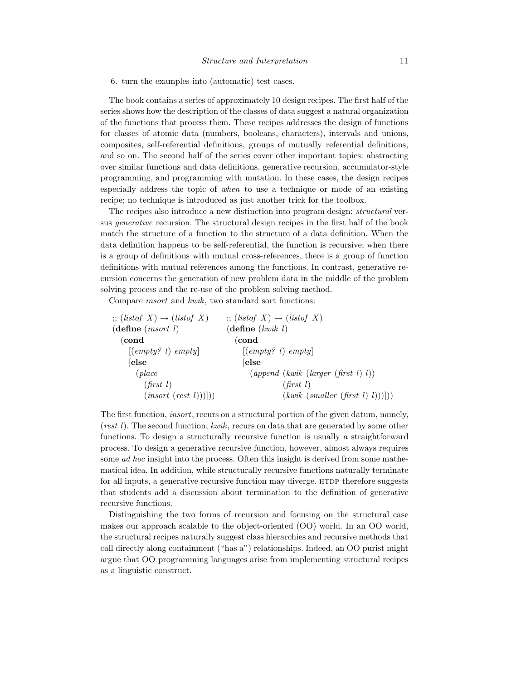6. turn the examples into (automatic) test cases.

The book contains a series of approximately 10 design recipes. The first half of the series shows how the description of the classes of data suggest a natural organization of the functions that process them. These recipes addresses the design of functions for classes of atomic data (numbers, booleans, characters), intervals and unions, composites, self-referential definitions, groups of mutually referential definitions, and so on. The second half of the series cover other important topics: abstracting over similar functions and data definitions, generative recursion, accumulator-style programming, and programming with mutation. In these cases, the design recipes especially address the topic of when to use a technique or mode of an existing recipe; no technique is introduced as just another trick for the toolbox.

The recipes also introduce a new distinction into program design: structural versus generative recursion. The structural design recipes in the first half of the book match the structure of a function to the structure of a data definition. When the data definition happens to be self-referential, the function is recursive; when there is a group of definitions with mutual cross-references, there is a group of function definitions with mutual references among the functions. In contrast, generative recursion concerns the generation of new problem data in the middle of the problem solving process and the re-use of the problem solving method.

Compare insort and kwik, two standard sort functions:

| $\gamma$ ; (listof X) $\rightarrow$ (listof X) | $\gamma$ ; (listof X) $\rightarrow$ (listof X)                     |
|------------------------------------------------|--------------------------------------------------------------------|
| $(\text{define} \ (insert \ l)$                | $(\text{define } (kwik \ l)$                                       |
| (cond                                          | (cond                                                              |
| [(empty? 1) empty]                             | [(empty? 1) empty]                                                 |
| else                                           | $\left $ else                                                      |
| (place                                         | $\left( append \ (kwik \ (larger \ (first \ l) \ l)\right)\right)$ |
| (first l)                                      | $(\text{first } l)$                                                |
| (insort (rest l)))))                           | (kwik (smaller (first l) l))                                       |
|                                                |                                                                    |

The first function, insort, recurs on a structural portion of the given datum, namely, (rest l). The second function, kwik, recurs on data that are generated by some other functions. To design a structurally recursive function is usually a straightforward process. To design a generative recursive function, however, almost always requires some *ad hoc* insight into the process. Often this insight is derived from some mathematical idea. In addition, while structurally recursive functions naturally terminate for all inputs, a generative recursive function may diverge. HTDP therefore suggests that students add a discussion about termination to the definition of generative recursive functions.

Distinguishing the two forms of recursion and focusing on the structural case makes our approach scalable to the object-oriented (OO) world. In an OO world, the structural recipes naturally suggest class hierarchies and recursive methods that call directly along containment ("has a") relationships. Indeed, an OO purist might argue that OO programming languages arise from implementing structural recipes as a linguistic construct.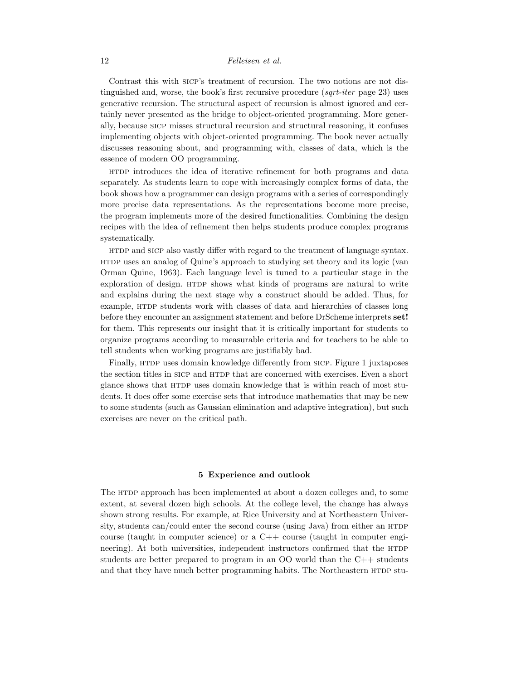## 12 Felleisen et al.

Contrast this with sicp's treatment of recursion. The two notions are not distinguished and, worse, the book's first recursive procedure  $(sqrt-iter)$  page 23) uses generative recursion. The structural aspect of recursion is almost ignored and certainly never presented as the bridge to object-oriented programming. More generally, because sicp misses structural recursion and structural reasoning, it confuses implementing objects with object-oriented programming. The book never actually discusses reasoning about, and programming with, classes of data, which is the essence of modern OO programming.

htdp introduces the idea of iterative refinement for both programs and data separately. As students learn to cope with increasingly complex forms of data, the book shows how a programmer can design programs with a series of correspondingly more precise data representations. As the representations become more precise, the program implements more of the desired functionalities. Combining the design recipes with the idea of refinement then helps students produce complex programs systematically.

HTDP and SICP also vastly differ with regard to the treatment of language syntax. htdp uses an analog of Quine's approach to studying set theory and its logic (van Orman Quine, 1963). Each language level is tuned to a particular stage in the exploration of design. HTDP shows what kinds of programs are natural to write and explains during the next stage why a construct should be added. Thus, for example, HTDP students work with classes of data and hierarchies of classes long before they encounter an assignment statement and before DrScheme interprets set! for them. This represents our insight that it is critically important for students to organize programs according to measurable criteria and for teachers to be able to tell students when working programs are justifiably bad.

Finally, HTDP uses domain knowledge differently from SICP. Figure 1 juxtaposes the section titles in SICP and HTDP that are concerned with exercises. Even a short glance shows that HTDP uses domain knowledge that is within reach of most students. It does offer some exercise sets that introduce mathematics that may be new to some students (such as Gaussian elimination and adaptive integration), but such exercises are never on the critical path.

# 5 Experience and outlook

The HTDP approach has been implemented at about a dozen colleges and, to some extent, at several dozen high schools. At the college level, the change has always shown strong results. For example, at Rice University and at Northeastern University, students can/could enter the second course (using Java) from either an  $H_{\text{TOP}}$ course (taught in computer science) or a  $C++$  course (taught in computer engineering). At both universities, independent instructors confirmed that the HTDP students are better prepared to program in an OO world than the C++ students and that they have much better programming habits. The Northeastern HTDP stu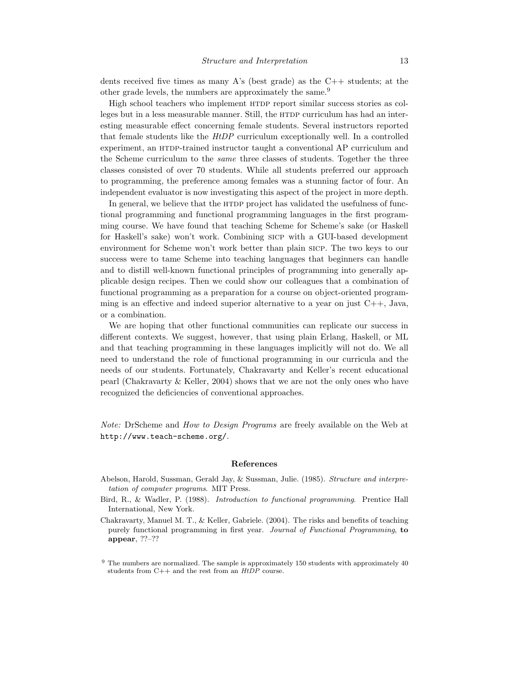dents received five times as many A's (best grade) as the  $C++$  students; at the other grade levels, the numbers are approximately the same.<sup>9</sup>

High school teachers who implement HTDP report similar success stories as colleges but in a less measurable manner. Still, the HTDP curriculum has had an interesting measurable effect concerning female students. Several instructors reported that female students like the HtDP curriculum exceptionally well. In a controlled experiment, an HTDP-trained instructor taught a conventional AP curriculum and the Scheme curriculum to the same three classes of students. Together the three classes consisted of over 70 students. While all students preferred our approach to programming, the preference among females was a stunning factor of four. An independent evaluator is now investigating this aspect of the project in more depth.

In general, we believe that the HTDP project has validated the usefulness of functional programming and functional programming languages in the first programming course. We have found that teaching Scheme for Scheme's sake (or Haskell for Haskell's sake) won't work. Combining sicp with a GUI-based development environment for Scheme won't work better than plain sicp. The two keys to our success were to tame Scheme into teaching languages that beginners can handle and to distill well-known functional principles of programming into generally applicable design recipes. Then we could show our colleagues that a combination of functional programming as a preparation for a course on object-oriented programming is an effective and indeed superior alternative to a year on just  $C_{++}$ , Java, or a combination.

We are hoping that other functional communities can replicate our success in different contexts. We suggest, however, that using plain Erlang, Haskell, or ML and that teaching programming in these languages implicitly will not do. We all need to understand the role of functional programming in our curricula and the needs of our students. Fortunately, Chakravarty and Keller's recent educational pearl (Chakravarty & Keller, 2004) shows that we are not the only ones who have recognized the deficiencies of conventional approaches.

Note: DrScheme and How to Design Programs are freely available on the Web at http://www.teach-scheme.org/.

#### References

- Abelson, Harold, Sussman, Gerald Jay, & Sussman, Julie. (1985). Structure and interpretation of computer programs. MIT Press.
- Bird, R., & Wadler, P. (1988). Introduction to functional programming. Prentice Hall International, New York.
- Chakravarty, Manuel M. T., & Keller, Gabriele. (2004). The risks and benefits of teaching purely functional programming in first year. Journal of Functional Programming, to appear, ??–??

 $9$  The numbers are normalized. The sample is approximately 150 students with approximately 40 students from  $C++$  and the rest from an  $HtDP$  course.